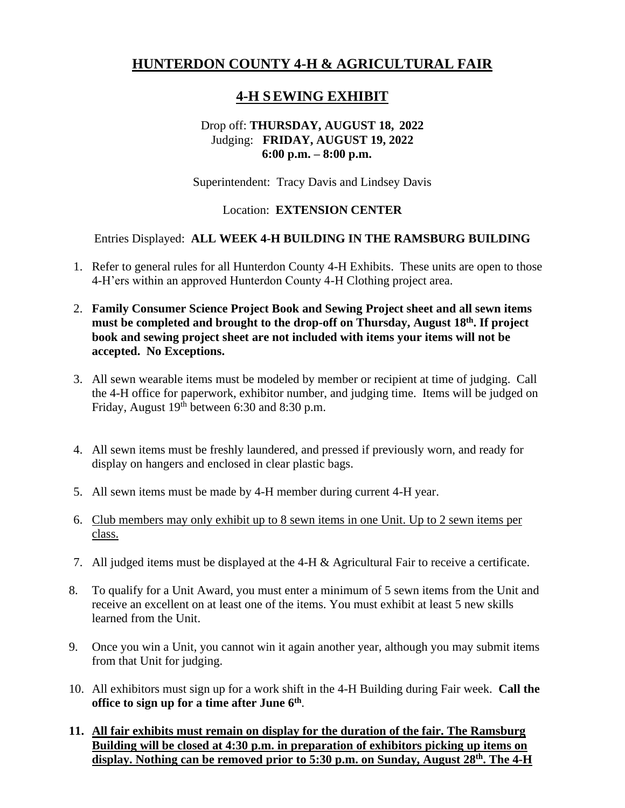# **HUNTERDON COUNTY 4-H & AGRICULTURAL FAIR**

# **4-H SEWING EXHIBIT**

## Drop off: **THURSDAY, AUGUST 18, 2022** Judging: **FRIDAY, AUGUST 19, 2022 6:00 p.m. – 8:00 p.m.**

Superintendent: Tracy Davis and Lindsey Davis

## Location: **EXTENSION CENTER**

#### Entries Displayed: **ALL WEEK 4-H BUILDING IN THE RAMSBURG BUILDING**

- 1. Refer to general rules for all Hunterdon County 4-H Exhibits. These units are open to those 4-H'ers within an approved Hunterdon County 4-H Clothing project area.
- 2. **Family Consumer Science Project Book and Sewing Project sheet and all sewn items**  must be completed and brought to the drop-off on Thursday, August 18<sup>th</sup>. If project **book and sewing project sheet are not included with items your items will not be accepted. No Exceptions.**
- 3. All sewn wearable items must be modeled by member or recipient at time of judging. Call the 4-H office for paperwork, exhibitor number, and judging time. Items will be judged on Friday, August  $19<sup>th</sup>$  between 6:30 and 8:30 p.m.
- 4. All sewn items must be freshly laundered, and pressed if previously worn, and ready for display on hangers and enclosed in clear plastic bags.
- 5. All sewn items must be made by 4-H member during current 4-H year.
- 6. Club members may only exhibit up to 8 sewn items in one Unit. Up to 2 sewn items per class.
- 7. All judged items must be displayed at the 4-H & Agricultural Fair to receive a certificate.
- 8. To qualify for a Unit Award, you must enter a minimum of 5 sewn items from the Unit and receive an excellent on at least one of the items. You must exhibit at least 5 new skills learned from the Unit.
- 9. Once you win a Unit, you cannot win it again another year, although you may submit items from that Unit for judging.
- 10. All exhibitors must sign up for a work shift in the 4-H Building during Fair week. **Call the office to sign up for a time after June 6 th** .

#### **11. All fair exhibits must remain on display for the duration of the fair. The Ramsburg Building will be closed at 4:30 p.m. in preparation of exhibitors picking up items on**  display. Nothing can be removed prior to 5:30 p.m. on Sunday, August 28<sup>th</sup>. The 4-H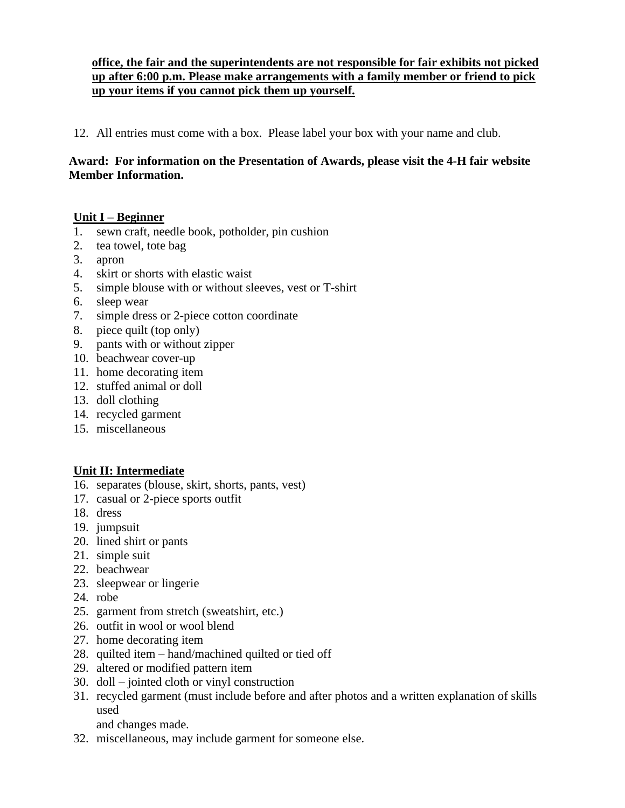## **office, the fair and the superintendents are not responsible for fair exhibits not picked up after 6:00 p.m. Please make arrangements with a family member or friend to pick up your items if you cannot pick them up yourself.**

12. All entries must come with a box. Please label your box with your name and club.

### **Award: For information on the Presentation of Awards, please visit the 4-H fair website Member Information.**

## **Unit I – Beginner**

- 1. sewn craft, needle book, potholder, pin cushion
- 2. tea towel, tote bag
- 3. apron
- 4. skirt or shorts with elastic waist
- 5. simple blouse with or without sleeves, vest or T-shirt
- 6. sleep wear
- 7. simple dress or 2-piece cotton coordinate
- 8. piece quilt (top only)
- 9. pants with or without zipper
- 10. beachwear cover-up
- 11. home decorating item
- 12. stuffed animal or doll
- 13. doll clothing
- 14. recycled garment
- 15. miscellaneous

## **Unit II: Intermediate**

- 16. separates (blouse, skirt, shorts, pants, vest)
- 17. casual or 2-piece sports outfit
- 18. dress
- 19. jumpsuit
- 20. lined shirt or pants
- 21. simple suit
- 22. beachwear
- 23. sleepwear or lingerie
- 24. robe
- 25. garment from stretch (sweatshirt, etc.)
- 26. outfit in wool or wool blend
- 27. home decorating item
- 28. quilted item hand/machined quilted or tied off
- 29. altered or modified pattern item
- 30. doll jointed cloth or vinyl construction
- 31. recycled garment (must include before and after photos and a written explanation of skills used
	- and changes made.
- 32. miscellaneous, may include garment for someone else.